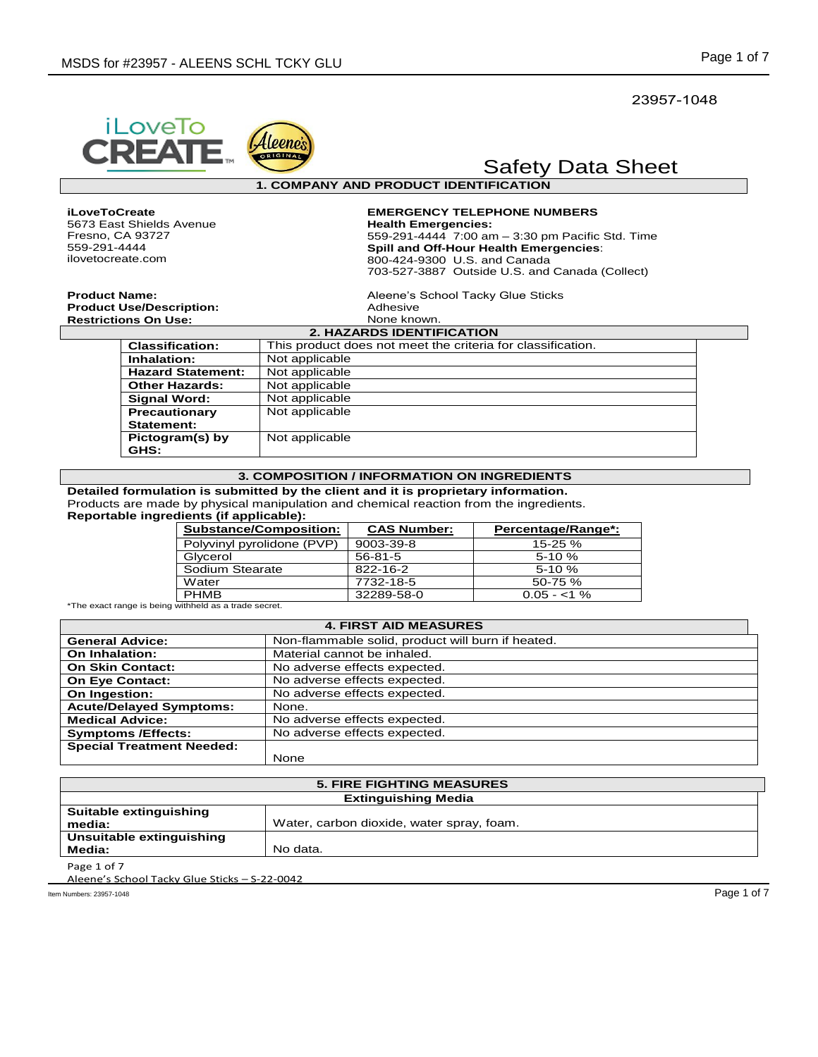23957-1048

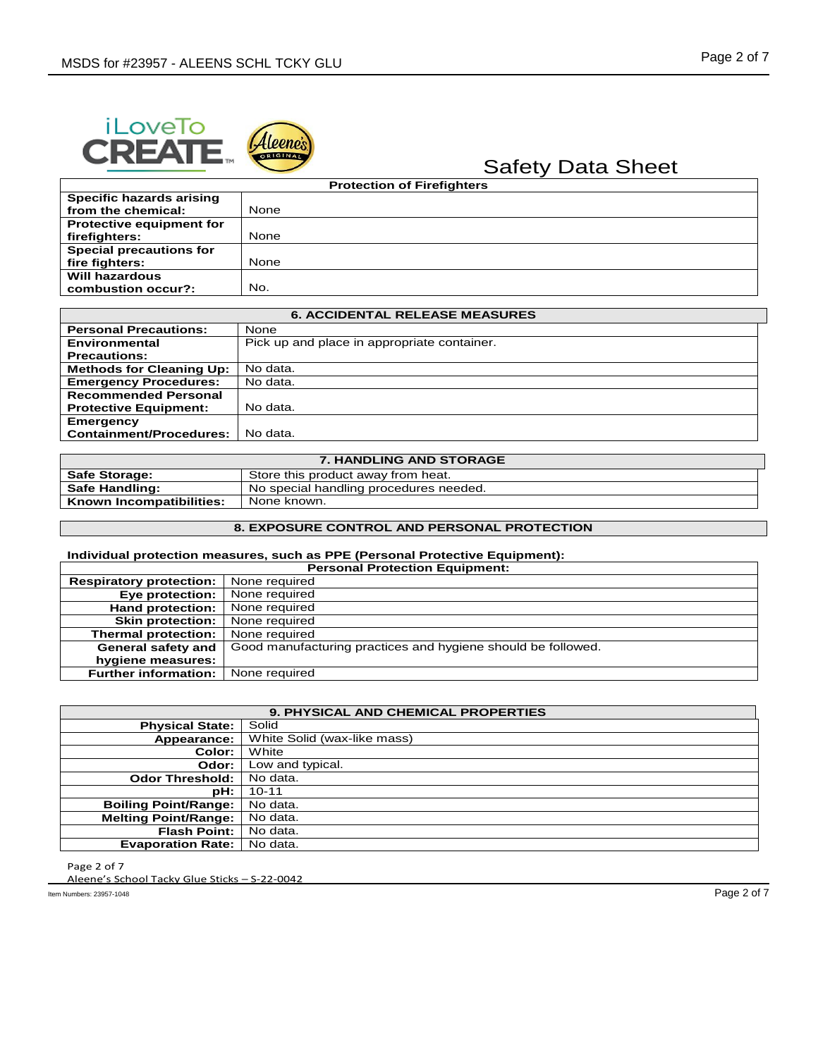



| <b>Protection of Firefighters</b> |      |
|-----------------------------------|------|
| Specific hazards arising          |      |
| from the chemical:                | None |
| <b>Protective equipment for</b>   |      |
| firefighters:                     | None |
| <b>Special precautions for</b>    |      |
| fire fighters:                    | None |
| Will hazardous                    |      |
| combustion occur?:                | No.  |

| <b>6. ACCIDENTAL RELEASE MEASURES</b> |                                             |
|---------------------------------------|---------------------------------------------|
| <b>Personal Precautions:</b>          | None                                        |
| Environmental                         | Pick up and place in appropriate container. |
| <b>Precautions:</b>                   |                                             |
| <b>Methods for Cleaning Up:</b>       | No data.                                    |
| <b>Emergency Procedures:</b>          | No data.                                    |
| <b>Recommended Personal</b>           |                                             |
| <b>Protective Equipment:</b>          | No data.                                    |
| Emergency                             |                                             |
| <b>Containment/Procedures:</b>        | No data.                                    |

| <b>7. HANDLING AND STORAGE</b> |                                        |
|--------------------------------|----------------------------------------|
| <b>Safe Storage:</b>           | Store this product away from heat.     |
| <b>Safe Handling:</b>          | No special handling procedures needed. |
| Known Incompatibilities:       | None known.                            |
|                                |                                        |

### **8. EXPOSURE CONTROL AND PERSONAL PROTECTION**

### **Individual protection measures, such as PPE (Personal Protective Equipment):**

| <b>Personal Protection Equipment:</b> |                                                              |
|---------------------------------------|--------------------------------------------------------------|
| <b>Respiratory protection:</b>        | None required                                                |
| Eye protection:                       | None required                                                |
| <b>Hand protection:</b>               | None required                                                |
| <b>Skin protection:</b>               | None required                                                |
| Thermal protection:                   | None required                                                |
| General safety and                    | Good manufacturing practices and hygiene should be followed. |
| hygiene measures:                     |                                                              |
| <b>Further information:</b>           | None required                                                |

| <b>9. PHYSICAL AND CHEMICAL PROPERTIES</b> |                             |
|--------------------------------------------|-----------------------------|
| <b>Physical State:</b>                     | Solid                       |
| Appearance:                                | White Solid (wax-like mass) |
| Color:                                     | White                       |
| Odor:                                      | Low and typical.            |
| <b>Odor Threshold:</b>                     | No data.                    |
| pH:                                        | $10 - 11$                   |
| <b>Boiling Point/Range:</b>                | No data.                    |
| <b>Melting Point/Range:</b>                | No data.                    |
| <b>Flash Point:</b>                        | No data.                    |
| <b>Evaporation Rate:</b>                   | No data.                    |

Page 2 of 7

Aleene's School Tacky Glue Sticks – S-22-0042

Item Numbers: 23957-1048 Page 2 of 7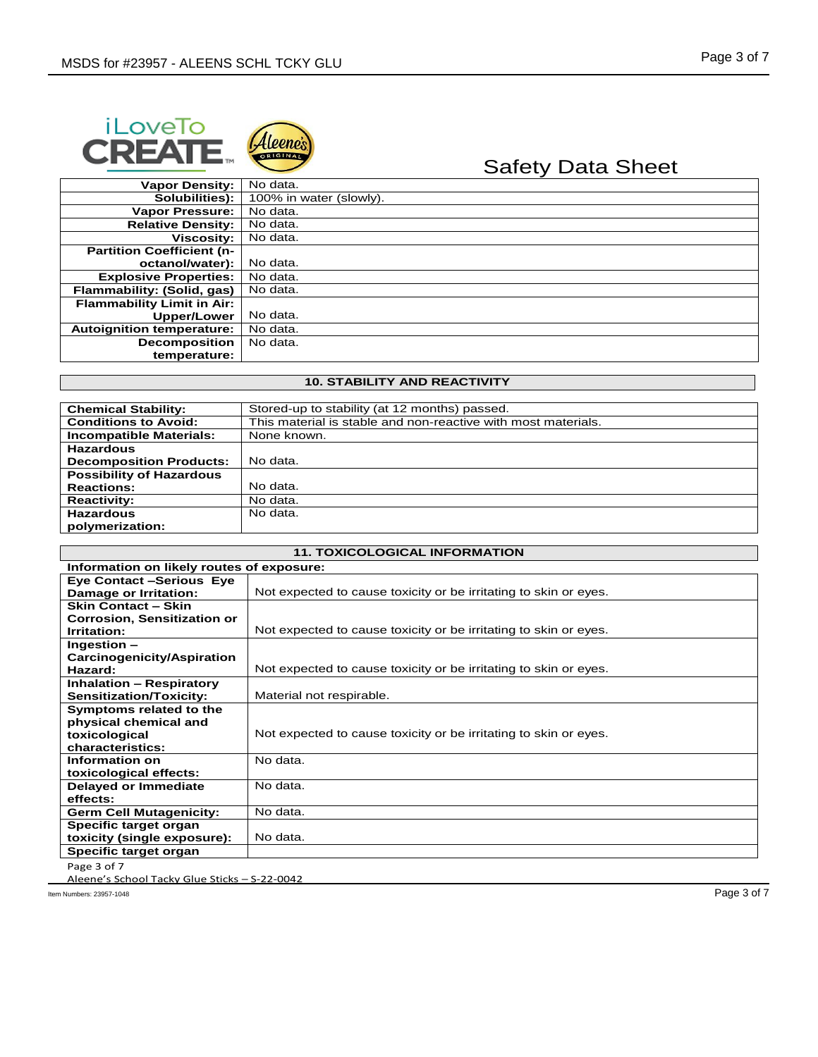



# Safety Data Sheet

| <b>Vapor Density:</b>            | No data.                |
|----------------------------------|-------------------------|
| Solubilities):                   | 100% in water (slowly). |
| <b>Vapor Pressure:</b>           | No data.                |
| <b>Relative Density:</b>         | No data.                |
| <b>Viscositv:</b>                | No data.                |
| <b>Partition Coefficient (n-</b> |                         |
| octanol/water):                  | No data.                |
| <b>Explosive Properties:</b>     | No data.                |
| Flammability: (Solid, gas)       | No data.                |
| Flammability Limit in Air:       |                         |
| Upper/Lower                      | No data.                |
| <b>Autoignition temperature:</b> | No data.                |
| <b>Decomposition</b>             | No data.                |
| temperature:                     |                         |

### **10. STABILITY AND REACTIVITY**

| <b>Chemical Stability:</b>      | Stored-up to stability (at 12 months) passed.                 |
|---------------------------------|---------------------------------------------------------------|
| <b>Conditions to Avoid:</b>     | This material is stable and non-reactive with most materials. |
| <b>Incompatible Materials:</b>  | None known.                                                   |
| <b>Hazardous</b>                |                                                               |
| <b>Decomposition Products:</b>  | No data.                                                      |
| <b>Possibility of Hazardous</b> |                                                               |
| <b>Reactions:</b>               | No data.                                                      |
| <b>Reactivity:</b>              | No data.                                                      |
| <b>Hazardous</b>                | No data.                                                      |
| polymerization:                 |                                                               |

| <b>11. TOXICOLOGICAL INFORMATION</b>            |                                                                  |  |
|-------------------------------------------------|------------------------------------------------------------------|--|
| Information on likely routes of exposure:       |                                                                  |  |
| <b>Eye Contact -Serious Eye</b>                 |                                                                  |  |
| <b>Damage or Irritation:</b>                    | Not expected to cause toxicity or be irritating to skin or eyes. |  |
| <b>Skin Contact - Skin</b>                      |                                                                  |  |
| <b>Corrosion, Sensitization or</b>              |                                                                  |  |
| Irritation:                                     | Not expected to cause toxicity or be irritating to skin or eyes. |  |
| Ingestion-                                      |                                                                  |  |
| Carcinogenicity/Aspiration                      |                                                                  |  |
| Hazard:                                         | Not expected to cause toxicity or be irritating to skin or eyes. |  |
| <b>Inhalation - Respiratory</b>                 |                                                                  |  |
| <b>Sensitization/Toxicity:</b>                  | Material not respirable.                                         |  |
| Symptoms related to the                         |                                                                  |  |
| physical chemical and                           |                                                                  |  |
| toxicological                                   | Not expected to cause toxicity or be irritating to skin or eyes. |  |
| characteristics:                                |                                                                  |  |
| Information on                                  | No data.                                                         |  |
| toxicological effects:                          |                                                                  |  |
| <b>Delayed or Immediate</b>                     | No data.                                                         |  |
| effects:                                        |                                                                  |  |
| <b>Germ Cell Mutagenicity:</b>                  | No data.                                                         |  |
| Specific target organ                           |                                                                  |  |
| toxicity (single exposure):                     | No data.                                                         |  |
| Specific target organ                           |                                                                  |  |
| Page 3 of 7                                     |                                                                  |  |
| Algono's School Tasky Glue Sticks - S. 22, 0042 |                                                                  |  |

Aleene's School Tacky Glue Sticks – S-22-0042

Item Numbers: 23957-1048 Page 3 of 7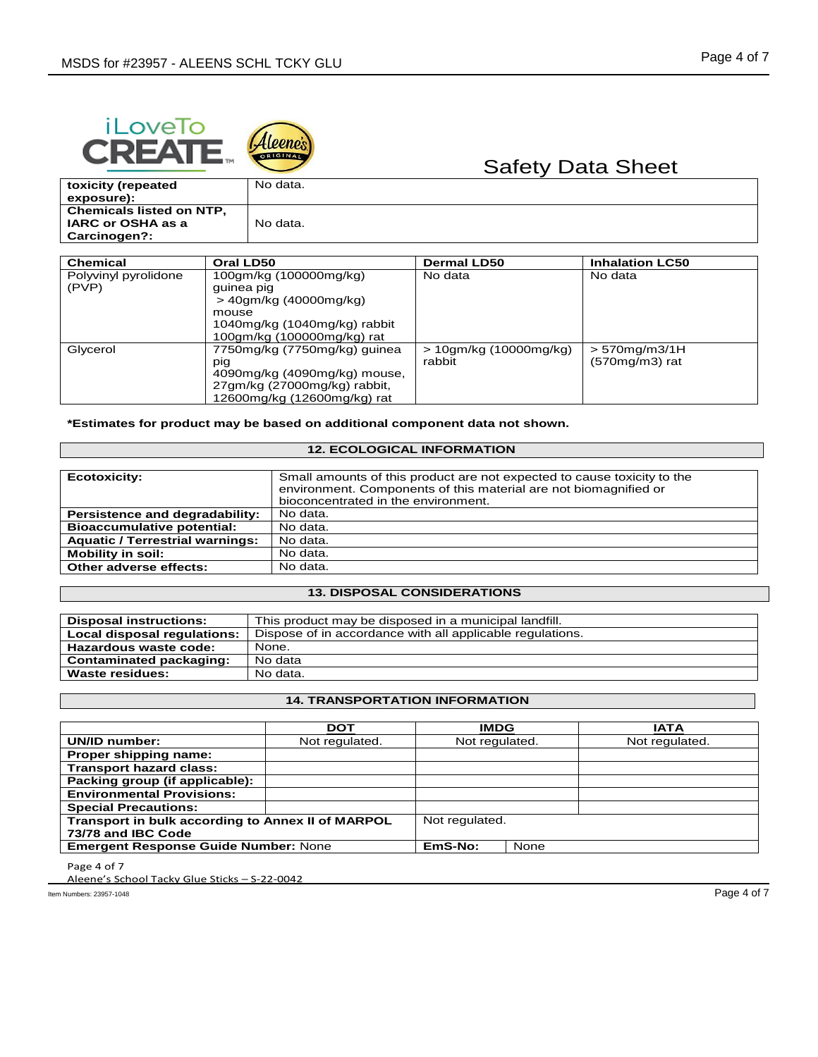



| toxicity (repeated<br>exposure):                                            | No data. |
|-----------------------------------------------------------------------------|----------|
| <b>Chemicals listed on NTP.</b><br>IARC or OSHA as a<br><b>Carcinogen?:</b> | No data. |

| Chemical                      | Oral LD50                                                                                                                             | <b>Dermal LD50</b>                  | <b>Inhalation LC50</b>               |
|-------------------------------|---------------------------------------------------------------------------------------------------------------------------------------|-------------------------------------|--------------------------------------|
| Polyvinyl pyrolidone<br>(PVP) | 100gm/kg (100000mg/kg)<br>quinea pig<br>> 40gm/kg (40000mg/kg)<br>mouse<br>1040mg/kg (1040mg/kg) rabbit<br>100gm/kg (100000mg/kg) rat | No data                             | No data                              |
| Glycerol                      | 7750mg/kg (7750mg/kg) guinea<br>pig<br>4090mg/kg (4090mg/kg) mouse,<br>27gm/kg (27000mg/kg) rabbit,<br>12600mg/kg (12600mg/kg) rat    | $> 10$ gm/kg (10000mg/kg)<br>rabbit | $> 570$ mg/m3/1H<br>$(570mg/m3)$ rat |

**\*Estimates for product may be based on additional component data not shown.**

# **12. ECOLOGICAL INFORMATION**

| <b>Ecotoxicity:</b>                    | Small amounts of this product are not expected to cause toxicity to the<br>environment. Components of this material are not biomagnified or<br>bioconcentrated in the environment. |
|----------------------------------------|------------------------------------------------------------------------------------------------------------------------------------------------------------------------------------|
| Persistence and degradability:         | No data.                                                                                                                                                                           |
| <b>Bioaccumulative potential:</b>      | No data.                                                                                                                                                                           |
| <b>Aquatic / Terrestrial warnings:</b> | No data.                                                                                                                                                                           |
| <b>Mobility in soil:</b>               | No data.                                                                                                                                                                           |
| Other adverse effects:                 | No data.                                                                                                                                                                           |

### **13. DISPOSAL CONSIDERATIONS**

| <b>Disposal instructions:</b> | This product may be disposed in a municipal landfill.     |  |
|-------------------------------|-----------------------------------------------------------|--|
| Local disposal regulations:   | Dispose of in accordance with all applicable regulations. |  |
| Hazardous waste code:         | None.                                                     |  |
| Contaminated packaging:       | No data                                                   |  |
| <b>Waste residues:</b>        | No data.                                                  |  |

# **14. TRANSPORTATION INFORMATION**

|                                                   | <b>DOT</b>     | <b>IMDG</b>    |      | <b>IATA</b>    |
|---------------------------------------------------|----------------|----------------|------|----------------|
| UN/ID number:                                     | Not regulated. | Not regulated. |      | Not regulated. |
| Proper shipping name:                             |                |                |      |                |
| <b>Transport hazard class:</b>                    |                |                |      |                |
| Packing group (if applicable):                    |                |                |      |                |
| <b>Environmental Provisions:</b>                  |                |                |      |                |
| <b>Special Precautions:</b>                       |                |                |      |                |
| Transport in bulk according to Annex II of MARPOL |                | Not regulated. |      |                |
| 73/78 and IBC Code                                |                |                |      |                |
| <b>Emergent Response Guide Number: None</b>       |                | EmS-No:        | None |                |

Page 4 of 7

Aleene's School Tacky Glue Sticks – S-22-0042

Item Numbers: 23957-1048 Page 4 of 7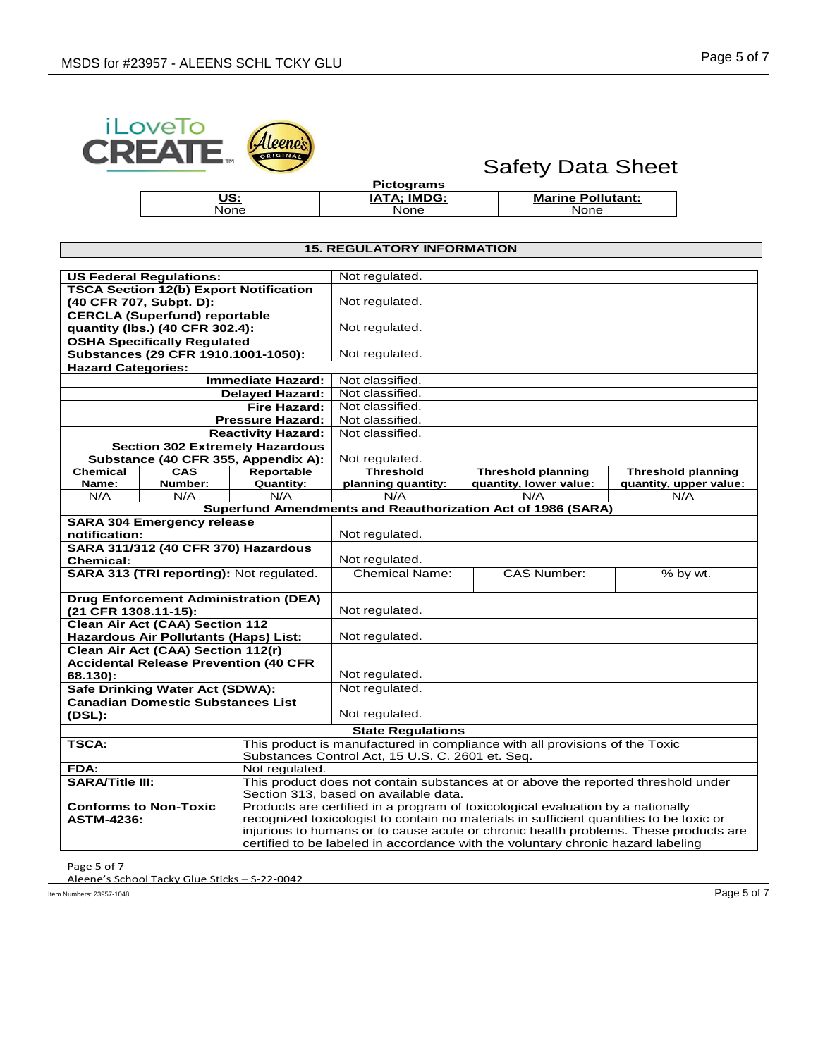

None

# Safety Data Sheet

| <b>Pictograms</b>  |
|--------------------|
| <b>IATA: IMDG:</b> |
| None               |

**Marine Pollutant:** None

## **15. REGULATORY INFORMATION**

| <b>US Federal Regulations:</b>                                                         |                           | Not regulated.                                                                                                                  |                                                                                         |                           |  |  |
|----------------------------------------------------------------------------------------|---------------------------|---------------------------------------------------------------------------------------------------------------------------------|-----------------------------------------------------------------------------------------|---------------------------|--|--|
| <b>TSCA Section 12(b) Export Notification</b>                                          |                           |                                                                                                                                 |                                                                                         |                           |  |  |
| (40 CFR 707, Subpt. D):                                                                |                           | Not regulated.                                                                                                                  |                                                                                         |                           |  |  |
| <b>CERCLA (Superfund) reportable</b>                                                   |                           |                                                                                                                                 |                                                                                         |                           |  |  |
| quantity (lbs.) (40 CFR 302.4):                                                        |                           | Not regulated.                                                                                                                  |                                                                                         |                           |  |  |
| <b>OSHA Specifically Regulated</b>                                                     |                           |                                                                                                                                 |                                                                                         |                           |  |  |
| Substances (29 CFR 1910.1001-1050):                                                    |                           | Not regulated.                                                                                                                  |                                                                                         |                           |  |  |
| <b>Hazard Categories:</b>                                                              |                           |                                                                                                                                 |                                                                                         |                           |  |  |
|                                                                                        | <b>Immediate Hazard:</b>  | Not classified.                                                                                                                 |                                                                                         |                           |  |  |
|                                                                                        | <b>Delayed Hazard:</b>    | Not classified.                                                                                                                 |                                                                                         |                           |  |  |
|                                                                                        | Fire Hazard:              | Not classified.                                                                                                                 |                                                                                         |                           |  |  |
| <b>Pressure Hazard:</b>                                                                |                           | Not classified.                                                                                                                 |                                                                                         |                           |  |  |
|                                                                                        | <b>Reactivity Hazard:</b> | Not classified.                                                                                                                 |                                                                                         |                           |  |  |
| <b>Section 302 Extremely Hazardous</b>                                                 |                           |                                                                                                                                 |                                                                                         |                           |  |  |
| Substance (40 CFR 355, Appendix A):                                                    |                           | Not regulated.                                                                                                                  |                                                                                         |                           |  |  |
| <b>Chemical</b><br><b>CAS</b>                                                          | Reportable                | Threshold                                                                                                                       | <b>Threshold planning</b>                                                               | <b>Threshold planning</b> |  |  |
| Name:<br>Number:                                                                       | <b>Quantity:</b>          | planning quantity:                                                                                                              | quantity, lower value:                                                                  | quantity, upper value:    |  |  |
| N/A<br>N/A                                                                             | N/A                       | N/A                                                                                                                             | N/A                                                                                     | N/A                       |  |  |
|                                                                                        |                           |                                                                                                                                 | Superfund Amendments and Reauthorization Act of 1986 (SARA)                             |                           |  |  |
| <b>SARA 304 Emergency release</b>                                                      |                           |                                                                                                                                 |                                                                                         |                           |  |  |
| notification:                                                                          |                           | Not regulated.                                                                                                                  |                                                                                         |                           |  |  |
| SARA 311/312 (40 CFR 370) Hazardous                                                    |                           |                                                                                                                                 |                                                                                         |                           |  |  |
| <b>Chemical:</b>                                                                       |                           | Not regulated.                                                                                                                  |                                                                                         |                           |  |  |
| SARA 313 (TRI reporting): Not regulated.                                               |                           | <b>Chemical Name:</b>                                                                                                           | <b>CAS Number:</b>                                                                      | % by wt.                  |  |  |
| <b>Drug Enforcement Administration (DEA)</b>                                           |                           |                                                                                                                                 |                                                                                         |                           |  |  |
| (21 CFR 1308.11-15):                                                                   |                           | Not regulated.                                                                                                                  |                                                                                         |                           |  |  |
|                                                                                        |                           |                                                                                                                                 |                                                                                         |                           |  |  |
| <b>Clean Air Act (CAA) Section 112</b><br><b>Hazardous Air Pollutants (Haps) List:</b> |                           | Not regulated.                                                                                                                  |                                                                                         |                           |  |  |
| Clean Air Act (CAA) Section 112(r)                                                     |                           |                                                                                                                                 |                                                                                         |                           |  |  |
| <b>Accidental Release Prevention (40 CFR</b>                                           |                           |                                                                                                                                 |                                                                                         |                           |  |  |
| 68.130):                                                                               |                           | Not regulated.                                                                                                                  |                                                                                         |                           |  |  |
| Safe Drinking Water Act (SDWA):                                                        |                           | Not regulated.                                                                                                                  |                                                                                         |                           |  |  |
| <b>Canadian Domestic Substances List</b>                                               |                           |                                                                                                                                 |                                                                                         |                           |  |  |
| (DSL):                                                                                 |                           | Not regulated.                                                                                                                  |                                                                                         |                           |  |  |
|                                                                                        |                           | <b>State Regulations</b>                                                                                                        |                                                                                         |                           |  |  |
| <b>TSCA:</b>                                                                           |                           |                                                                                                                                 |                                                                                         |                           |  |  |
|                                                                                        |                           | This product is manufactured in compliance with all provisions of the Toxic<br>Substances Control Act, 15 U.S. C. 2601 et. Seq. |                                                                                         |                           |  |  |
| FDA:                                                                                   | Not regulated.            |                                                                                                                                 |                                                                                         |                           |  |  |
| <b>SARA/Title III:</b>                                                                 |                           | This product does not contain substances at or above the reported threshold under                                               |                                                                                         |                           |  |  |
|                                                                                        |                           | Section 313, based on available data.                                                                                           |                                                                                         |                           |  |  |
| <b>Conforms to Non-Toxic</b>                                                           |                           | Products are certified in a program of toxicological evaluation by a nationally                                                 |                                                                                         |                           |  |  |
| <b>ASTM-4236:</b>                                                                      |                           |                                                                                                                                 | recognized toxicologist to contain no materials in sufficient quantities to be toxic or |                           |  |  |
|                                                                                        |                           | injurious to humans or to cause acute or chronic health problems. These products are                                            |                                                                                         |                           |  |  |
|                                                                                        |                           |                                                                                                                                 | certified to be labeled in accordance with the voluntary chronic hazard labeling        |                           |  |  |

Page 5 of 7

Aleene's School Tacky Glue Sticks – S-22-0042

Item Numbers: 23957-1048 Page 5 of 7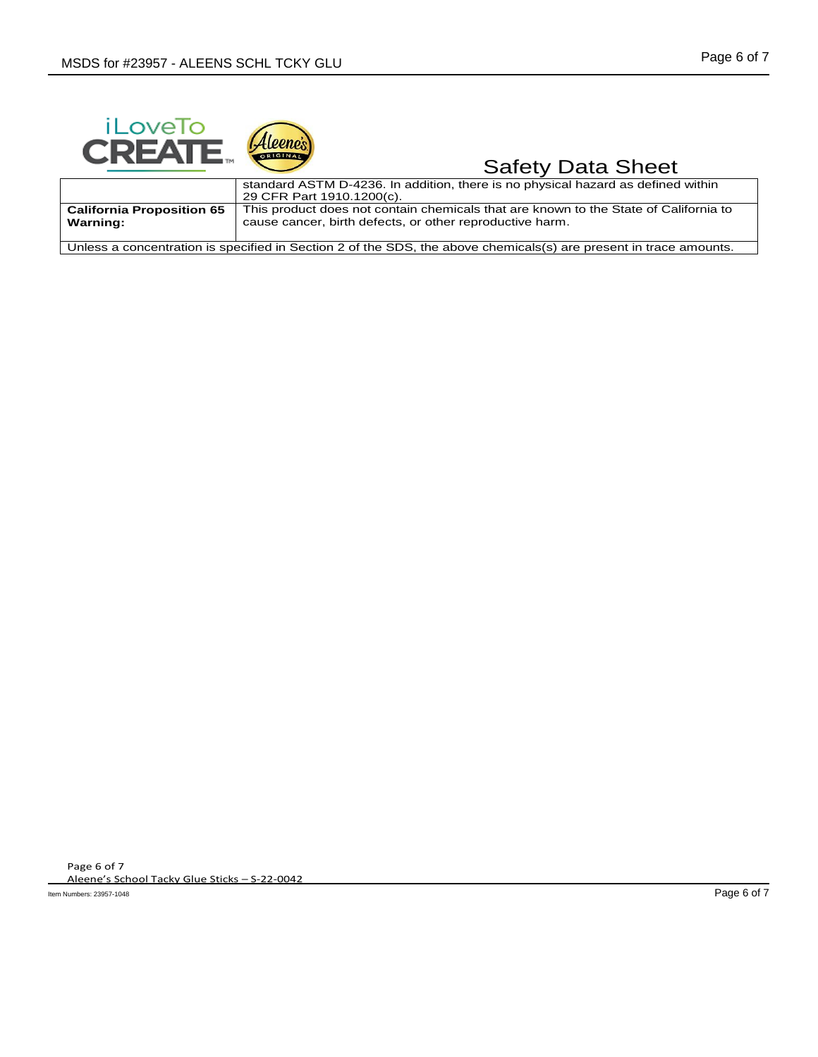



#### **Safety Data Sheet** standard ASTM D-4236. In addition, there is no physical hazard as defined within 29 CFR Part 1910.1200(c). **California Proposition 65 Warning:** This product does not contain chemicals that are known to the State of California to cause cancer, birth defects, or other reproductive harm. Unless a concentration is specified in Section 2 of the SDS, the above chemicals(s) are present in trace amounts.

Page 6 of 7 Aleene's School Tacky Glue Sticks – S-22-0042

Item Numbers: 23957-1048 Page 6 of 7